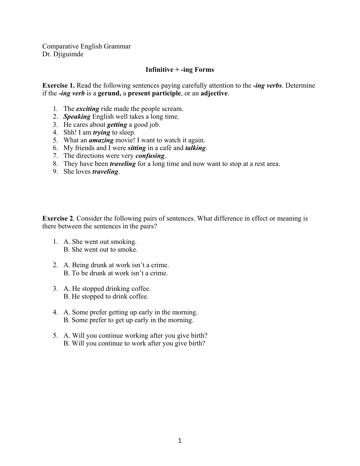Comparative English Grammar Dr. Djiguimde

## **Infinitive + -ing Forms**

**Exercise 1.** Read the following sentences paying carefully attention to the *-ing verbs*. Determine if the *-ing verb* is a **gerund,** a **present participle**, or an **adjective**.

- 1. The *exciting* ride made the people scream.
- 2. *Speaking* English well takes a long time.
- 3. He cares about *getting* a good job.
- 4. Shh! I am *trying* to sleep.
- 5. What an *amazing* movie! I want to watch it again.
- 6. My friends and I were *sitting* in a café and *talking*.
- 7. The directions were very *confusing*.
- 8. They have been *traveling* for a long time and now want to stop at a rest area.
- 9. She loves *traveling*.

**Exercise 2**. Consider the following pairs of sentences. What difference in effect or meaning is there between the sentences in the pairs?

- 1. A. She went out smoking. B. She went out to smoke.
- 2. A. Being drunk at work isn't a crime. B. To be drunk at work isn't a crime.
- 3. A. He stopped drinking coffee. B. He stopped to drink coffee.
- 4. A. Some prefer getting up early in the morning. B. Some prefer to get up early in the morning.
- 5. A. Will you continue working after you give birth? B. Will you continue to work after you give birth?